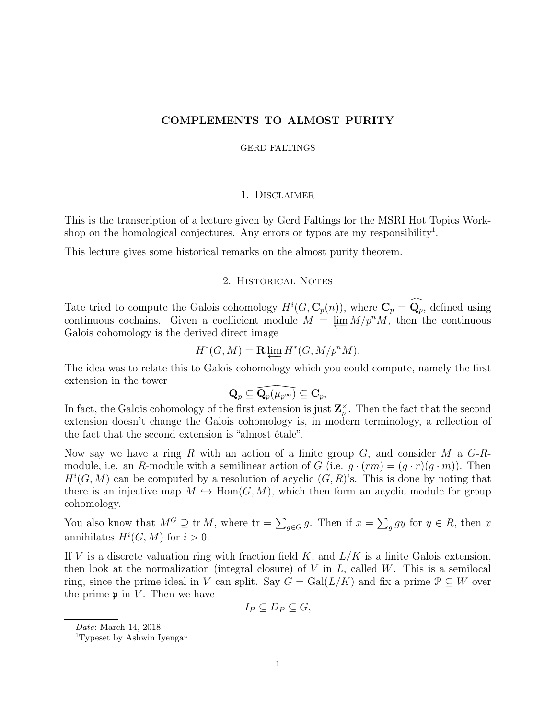# COMPLEMENTS TO ALMOST PURITY

#### GERD FALTINGS

### 1. Disclaimer

This is the transcription of a lecture given by Gerd Faltings for the MSRI Hot Topics Workshop on the homological conjectures. Any errors or typos are my responsibility<sup>1</sup>.

This lecture gives some historical remarks on the almost purity theorem.

## 2. Historical Notes

Tate tried to compute the Galois cohomology  $H^i(G, \mathbf{C}_p(n))$ , where  $\mathbf{C}_p = \widehat{\overline{\mathbf{Q}_p}}$ , defined using continuous cochains. Given a coefficient module  $M = \varprojlim M/p^n M$ , then the continuous Galois cohomology is the derived direct image

$$
H^*(G, M) = \mathbf{R} \varprojlim H^*(G, M/p^n M).
$$

The idea was to relate this to Galois cohomology which you could compute, namely the first extension in the tower

$$
\mathbf{Q}_p \subseteq \widehat{\mathbf{Q}_p(\mu_{p^\infty})} \subseteq \mathbf{C}_p,
$$

 $\widehat{\mathbf{Q}_{p}(\mu_{p^{\infty}})}$ <br>extension<br>omology i In fact, the Galois cohomology of the first extension is just  $\mathbb{Z}_p^{\times}$ . Then the fact that the second extension doesn't change the Galois cohomology is, in modern terminology, a reflection of the fact that the second extension is "almost étale".

Now say we have a ring *R* with an action of a finite group *G*, and consider *M* a *G*-*R*module, i.e. an *R*-module with a semilinear action of *G* (i.e.  $g \cdot (rm) = (g \cdot r)(g \cdot m)$ ). Then  $H^i(G, M)$  can be computed by a resolution of acyclic  $(G, R)$ 's. This is done by noting that there is an injective map  $M \hookrightarrow \text{Hom}(G, M)$ , which then form an acyclic module for group cohomology.

You also know that  $M^G \supseteq \text{tr } M$ , where  $\text{tr} = \sum_{g \in G} g$ . Then if  $x = \sum_g gy$  for  $y \in R$ , then *x* annihilates  $H^i(G, M)$  for  $i > 0$ .

If *V* is a discrete valuation ring with fraction field *K*, and *L/K* is a finite Galois extension, then look at the normalization (integral closure) of *V* in *L*, called *W*. This is a semilocal ring, since the prime ideal in *V* can split. Say  $G = \text{Gal}(L/K)$  and fix a prime  $\mathcal{P} \subseteq W$  over the prime  $\mathfrak p$  in *V*. Then we have

$$
I_P \subseteq D_P \subseteq G,
$$

*Date*: March 14, 2018.

<sup>1</sup>Typeset by Ashwin Iyengar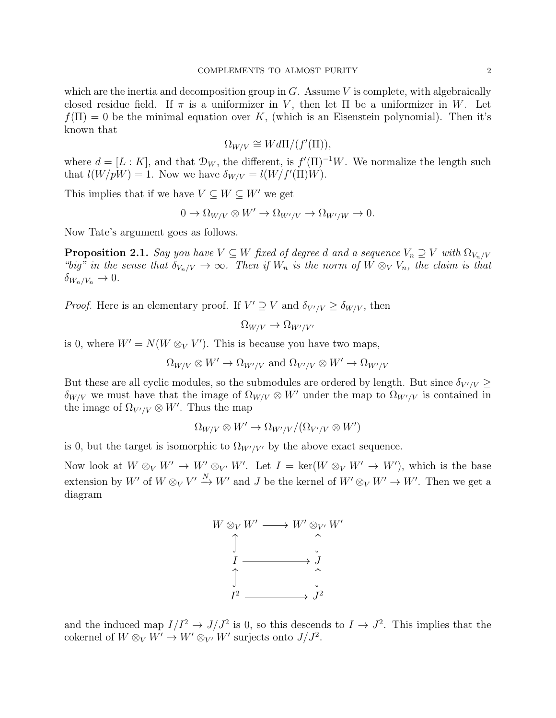which are the inertia and decomposition group in *G*. Assume *V* is complete, with algebraically closed residue field. If  $\pi$  is a uniformizer in *V*, then let  $\Pi$  be a uniformizer in *W*. Let  $f(\Pi) = 0$  be the minimal equation over K, (which is an Eisenstein polynomial). Then it's known that

$$
\Omega_{W/V} \cong W d\Pi/(f'(\Pi)),
$$

where  $d = [L : K]$ , and that  $\mathcal{D}_W$ , the different, is  $f'(\Pi)^{-1}W$ . We normalize the length such that  $l(W/pW) = 1$ . Now we have  $\delta_{W/V} = l(W/f'(\Pi)W)$ .

This implies that if we have  $V \subseteq W \subseteq W'$  we get

$$
0 \to \Omega_{W/V} \otimes W' \to \Omega_{W'/V} \to \Omega_{W'/W} \to 0.
$$

Now Tate's argument goes as follows.

**Proposition 2.1.** *Say you have*  $V \subseteq W$  *fixed of degree d and a sequence*  $V_n \supseteq V$  *with*  $\Omega_{V_n/V}$ *"big" in the sense that*  $\delta_{V_n/V} \to \infty$ . Then if  $W_n$  is the norm of  $W \otimes_V V_n$ , the claim is that  $\delta_{W_n/V_n} \to 0.$ 

*Proof.* Here is an elementary proof. If  $V' \supseteq V$  and  $\delta_{V'/V} \geq \delta_{W/V}$ , then

$$
\Omega_{W/V} \to \Omega_{W'/V'}
$$

is 0, where  $W' = N(W \otimes_V V')$ . This is because you have two maps,

$$
\Omega_{W/V} \otimes W' \to \Omega_{W'/V}
$$
 and  $\Omega_{V'/V} \otimes W' \to \Omega_{W'/V}$ 

But these are all cyclic modules, so the submodules are ordered by length. But since  $\delta_{V'/V} \geq$  $\delta_{W/V}$  we must have that the image of  $\Omega_{W/V} \otimes W'$  under the map to  $\Omega_{W'/V}$  is contained in the image of  $\Omega_{V'/V} \otimes W'$ . Thus the map

$$
\Omega_{W/V} \otimes W' \to \Omega_{W'/V}/(\Omega_{V'/V} \otimes W')
$$

is 0, but the target is isomorphic to  $\Omega_{W'/V'}$  by the above exact sequence.

Now look at  $W \otimes_V W' \to W' \otimes_{V'} W'$ . Let  $I = \text{ker}(W \otimes_V W' \to W')$ , which is the base extension by  $W'$  of  $W \otimes_V V' \xrightarrow{N} W'$  and *J* be the kernel of  $W' \otimes_V W' \to W'$ . Then we get a diagram



and the induced map  $I/I^2 \to J/J^2$  is 0, so this descends to  $I \to J^2$ . This implies that the cokernel of  $W \otimes_V W' \to W' \otimes_{V'} W'$  surjects onto  $J/J^2$ .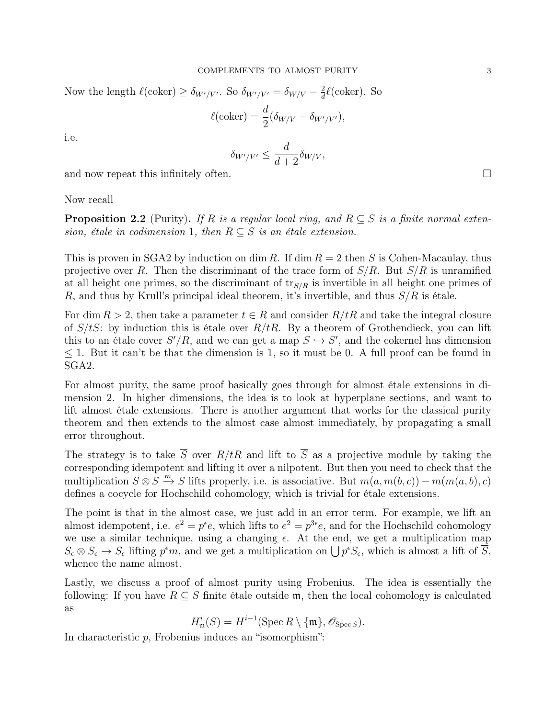Now the length  $\ell(\text{coker}) \ge \delta_{W'/V'}$ . So  $\delta_{W'/V'} = \delta_{W/V} - \frac{2}{d}\ell(\text{coker})$ . So

$$
\ell(\text{coker}) = \frac{d}{2}(\delta_{W/V} - \delta_{W'/V'}),
$$

i.e.

$$
\delta_{W'/V'} \leq \frac{d}{d+2} \delta_{W/V},
$$

and now repeat this infinitely often.  $\Box$ 

### Now recall

**Proposition 2.2** (Purity). If R is a regular local ring, and  $R \subseteq S$  is a finite normal exten*sion, étale in codimension* 1*, then*  $R \subseteq S$  *is an étale extension.* 

This is proven in SGA2 by induction on dim *R*. If dim  $R = 2$  then *S* is Cohen-Macaulay, thus projective over *R*. Then the discriminant of the trace form of *S/R*. But *S/R* is unramified at all height one primes, so the discriminant of tr*S/R* is invertible in all height one primes of *R*, and thus by Krull's principal ideal theorem, it's invertible, and thus *S/R* is étale.

For dim  $R > 2$ , then take a parameter  $t \in R$  and consider  $R/tR$  and take the integral closure of  $S/tS$ : by induction this is étale over  $R/tR$ . By a theorem of Grothendieck, you can lift this to an étale cover  $S'/R$ , and we can get a map  $S \hookrightarrow S'$ , and the cokernel has dimension  $1.$  But it can't be that the dimension is 1, so it must be 0. A full proof can be found in SGA2.

For almost purity, the same proof basically goes through for almost étale extensions in dimension 2. In higher dimensions, the idea is to look at hyperplane sections, and want to lift almost étale extensions. There is another argument that works for the classical purity theorem and then extends to the almost case almost immediately, by propagating a small error throughout.

The strategy is to take  $\overline{S}$  over  $R/tR$  and lift to  $\overline{S}$  as a projective module by taking the corresponding idempotent and lifting it over a nilpotent. But then you need to check that the multiplication  $S \otimes S \xrightarrow{m} S$  lifts properly, i.e. is associative. But  $m(a, m(b, c)) - m(m(a, b), c)$ defines a cocycle for Hochschild cohomology, which is trivial for étale extensions.

The point is that in the almost case, we just add in an error term. For example, we lift an almost idempotent, i.e.  $\bar{e}^2 = p^{\epsilon}\bar{e}$ , which lifts to  $e^2 = p^{3\epsilon}e$ , and for the Hochschild cohomology we use a similar technique, using a changing  $\epsilon$ . At the end, we get a multiplication map  $S_{\epsilon} \otimes S_{\epsilon} \to S_{\epsilon}$  lifting  $p^{\epsilon}m$ , and we get a multiplication on  $\bigcup p^{\epsilon}S_{\epsilon}$ , which is almost a lift of  $\overline{S}$ , whence the name almost.

Lastly, we discuss a proof of almost purity using Frobenius. The idea is essentially the following: If you have  $R \subseteq S$  finite étale outside m, then the local cohomology is calculated as

$$
H_{\mathfrak{m}}^{i}(S) = H^{i-1}(\operatorname{Spec} R \setminus \{\mathfrak{m}\}, \mathscr{O}_{\operatorname{Spec} S}).
$$

In characteristic *p*, Frobenius induces an "isomorphism":